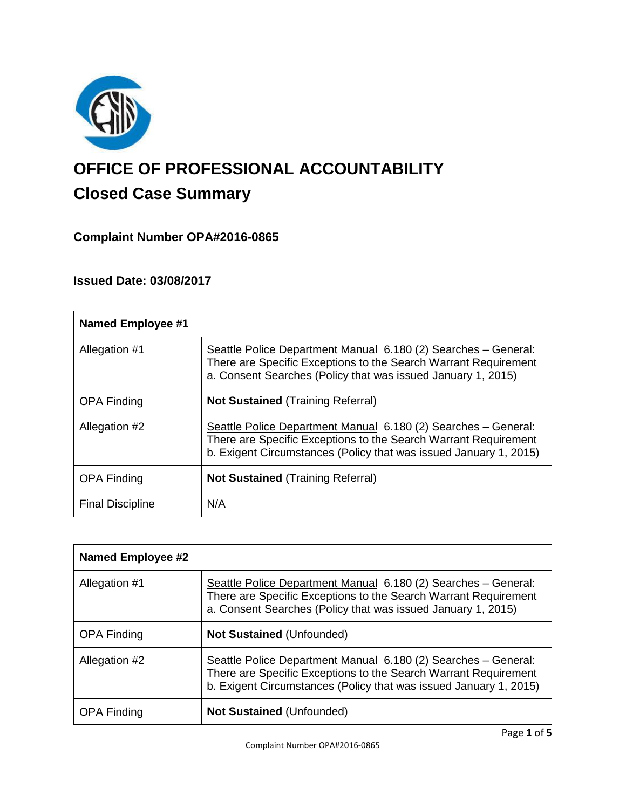

# **OFFICE OF PROFESSIONAL ACCOUNTABILITY Closed Case Summary**

# **Complaint Number OPA#2016-0865**

# **Issued Date: 03/08/2017**

| <b>Named Employee #1</b> |                                                                                                                                                                                                        |
|--------------------------|--------------------------------------------------------------------------------------------------------------------------------------------------------------------------------------------------------|
| Allegation #1            | Seattle Police Department Manual 6.180 (2) Searches - General:<br>There are Specific Exceptions to the Search Warrant Requirement<br>a. Consent Searches (Policy that was issued January 1, 2015)      |
| <b>OPA Finding</b>       | <b>Not Sustained (Training Referral)</b>                                                                                                                                                               |
| Allegation #2            | Seattle Police Department Manual 6.180 (2) Searches - General:<br>There are Specific Exceptions to the Search Warrant Requirement<br>b. Exigent Circumstances (Policy that was issued January 1, 2015) |
| <b>OPA Finding</b>       | <b>Not Sustained (Training Referral)</b>                                                                                                                                                               |
| <b>Final Discipline</b>  | N/A                                                                                                                                                                                                    |

| <b>Named Employee #2</b> |                                                                                                                                                                                                        |
|--------------------------|--------------------------------------------------------------------------------------------------------------------------------------------------------------------------------------------------------|
| Allegation #1            | Seattle Police Department Manual 6.180 (2) Searches - General:<br>There are Specific Exceptions to the Search Warrant Requirement<br>a. Consent Searches (Policy that was issued January 1, 2015)      |
| <b>OPA Finding</b>       | <b>Not Sustained (Unfounded)</b>                                                                                                                                                                       |
| Allegation #2            | Seattle Police Department Manual 6.180 (2) Searches - General:<br>There are Specific Exceptions to the Search Warrant Requirement<br>b. Exigent Circumstances (Policy that was issued January 1, 2015) |
| <b>OPA Finding</b>       | <b>Not Sustained (Unfounded)</b>                                                                                                                                                                       |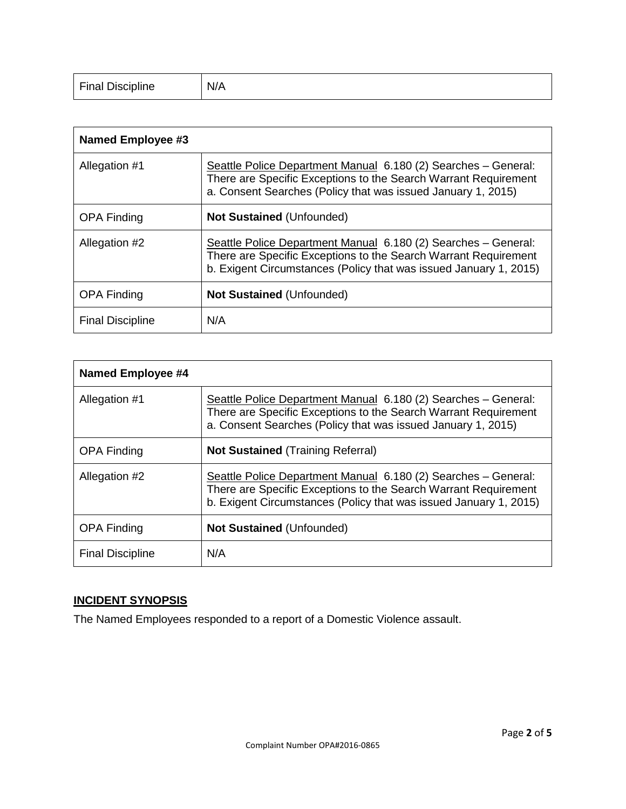| <b>Final Discipline</b> | N/A |
|-------------------------|-----|
|-------------------------|-----|

| Named Employee #3       |                                                                                                                                                                                                        |
|-------------------------|--------------------------------------------------------------------------------------------------------------------------------------------------------------------------------------------------------|
| Allegation #1           | Seattle Police Department Manual 6.180 (2) Searches - General:<br>There are Specific Exceptions to the Search Warrant Requirement<br>a. Consent Searches (Policy that was issued January 1, 2015)      |
| <b>OPA Finding</b>      | <b>Not Sustained (Unfounded)</b>                                                                                                                                                                       |
| Allegation #2           | Seattle Police Department Manual 6.180 (2) Searches - General:<br>There are Specific Exceptions to the Search Warrant Requirement<br>b. Exigent Circumstances (Policy that was issued January 1, 2015) |
| <b>OPA Finding</b>      | <b>Not Sustained (Unfounded)</b>                                                                                                                                                                       |
| <b>Final Discipline</b> | N/A                                                                                                                                                                                                    |

| Named Employee #4       |                                                                                                                                                                                                        |
|-------------------------|--------------------------------------------------------------------------------------------------------------------------------------------------------------------------------------------------------|
| Allegation #1           | Seattle Police Department Manual 6.180 (2) Searches - General:<br>There are Specific Exceptions to the Search Warrant Requirement<br>a. Consent Searches (Policy that was issued January 1, 2015)      |
| <b>OPA Finding</b>      | <b>Not Sustained (Training Referral)</b>                                                                                                                                                               |
| Allegation #2           | Seattle Police Department Manual 6.180 (2) Searches - General:<br>There are Specific Exceptions to the Search Warrant Requirement<br>b. Exigent Circumstances (Policy that was issued January 1, 2015) |
| <b>OPA Finding</b>      | <b>Not Sustained (Unfounded)</b>                                                                                                                                                                       |
| <b>Final Discipline</b> | N/A                                                                                                                                                                                                    |

# **INCIDENT SYNOPSIS**

The Named Employees responded to a report of a Domestic Violence assault.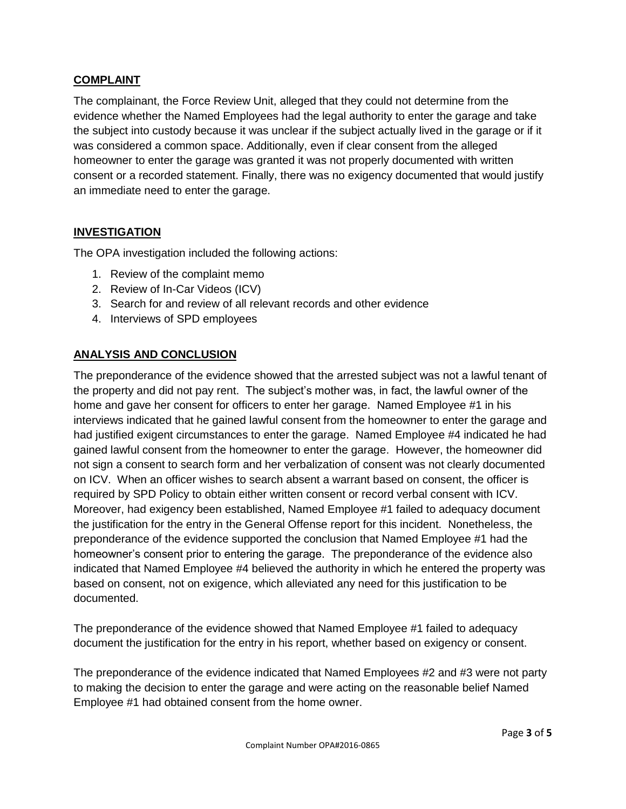# **COMPLAINT**

The complainant, the Force Review Unit, alleged that they could not determine from the evidence whether the Named Employees had the legal authority to enter the garage and take the subject into custody because it was unclear if the subject actually lived in the garage or if it was considered a common space. Additionally, even if clear consent from the alleged homeowner to enter the garage was granted it was not properly documented with written consent or a recorded statement. Finally, there was no exigency documented that would justify an immediate need to enter the garage.

## **INVESTIGATION**

The OPA investigation included the following actions:

- 1. Review of the complaint memo
- 2. Review of In-Car Videos (ICV)
- 3. Search for and review of all relevant records and other evidence
- 4. Interviews of SPD employees

## **ANALYSIS AND CONCLUSION**

The preponderance of the evidence showed that the arrested subject was not a lawful tenant of the property and did not pay rent. The subject's mother was, in fact, the lawful owner of the home and gave her consent for officers to enter her garage. Named Employee #1 in his interviews indicated that he gained lawful consent from the homeowner to enter the garage and had justified exigent circumstances to enter the garage. Named Employee #4 indicated he had gained lawful consent from the homeowner to enter the garage. However, the homeowner did not sign a consent to search form and her verbalization of consent was not clearly documented on ICV. When an officer wishes to search absent a warrant based on consent, the officer is required by SPD Policy to obtain either written consent or record verbal consent with ICV. Moreover, had exigency been established, Named Employee #1 failed to adequacy document the justification for the entry in the General Offense report for this incident. Nonetheless, the preponderance of the evidence supported the conclusion that Named Employee #1 had the homeowner's consent prior to entering the garage. The preponderance of the evidence also indicated that Named Employee #4 believed the authority in which he entered the property was based on consent, not on exigence, which alleviated any need for this justification to be documented.

The preponderance of the evidence showed that Named Employee #1 failed to adequacy document the justification for the entry in his report, whether based on exigency or consent.

The preponderance of the evidence indicated that Named Employees #2 and #3 were not party to making the decision to enter the garage and were acting on the reasonable belief Named Employee #1 had obtained consent from the home owner.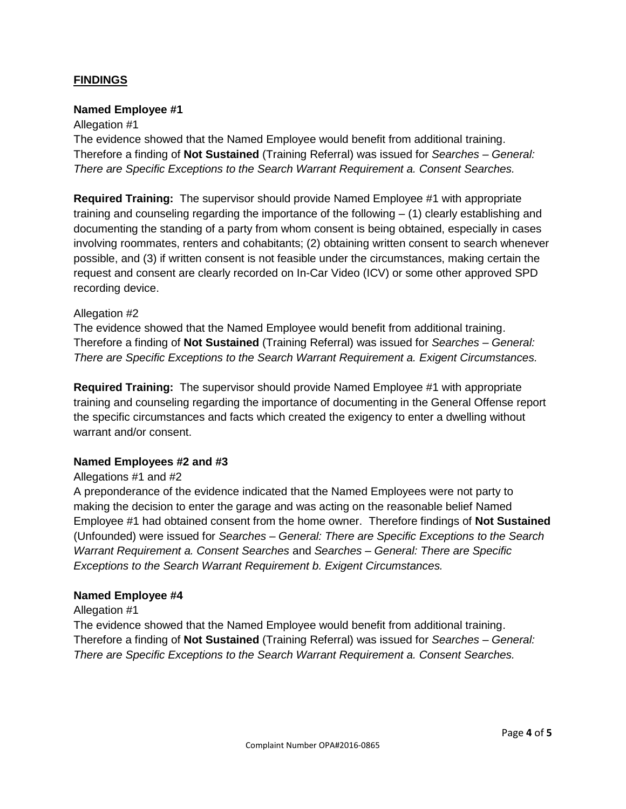## **FINDINGS**

#### **Named Employee #1**

#### Allegation #1

The evidence showed that the Named Employee would benefit from additional training. Therefore a finding of **Not Sustained** (Training Referral) was issued for *Searches – General: There are Specific Exceptions to the Search Warrant Requirement a. Consent Searches.*

**Required Training:** The supervisor should provide Named Employee #1 with appropriate training and counseling regarding the importance of the following – (1) clearly establishing and documenting the standing of a party from whom consent is being obtained, especially in cases involving roommates, renters and cohabitants; (2) obtaining written consent to search whenever possible, and (3) if written consent is not feasible under the circumstances, making certain the request and consent are clearly recorded on In-Car Video (ICV) or some other approved SPD recording device.

#### Allegation #2

The evidence showed that the Named Employee would benefit from additional training. Therefore a finding of **Not Sustained** (Training Referral) was issued for *Searches – General: There are Specific Exceptions to the Search Warrant Requirement a. Exigent Circumstances.*

**Required Training:** The supervisor should provide Named Employee #1 with appropriate training and counseling regarding the importance of documenting in the General Offense report the specific circumstances and facts which created the exigency to enter a dwelling without warrant and/or consent.

#### **Named Employees #2 and #3**

## Allegations #1 and #2

A preponderance of the evidence indicated that the Named Employees were not party to making the decision to enter the garage and was acting on the reasonable belief Named Employee #1 had obtained consent from the home owner. Therefore findings of **Not Sustained** (Unfounded) were issued for *Searches – General: There are Specific Exceptions to the Search Warrant Requirement a. Consent Searches* and *Searches – General: There are Specific Exceptions to the Search Warrant Requirement b. Exigent Circumstances.*

#### **Named Employee #4**

#### Allegation #1

The evidence showed that the Named Employee would benefit from additional training. Therefore a finding of **Not Sustained** (Training Referral) was issued for *Searches – General: There are Specific Exceptions to the Search Warrant Requirement a. Consent Searches.*